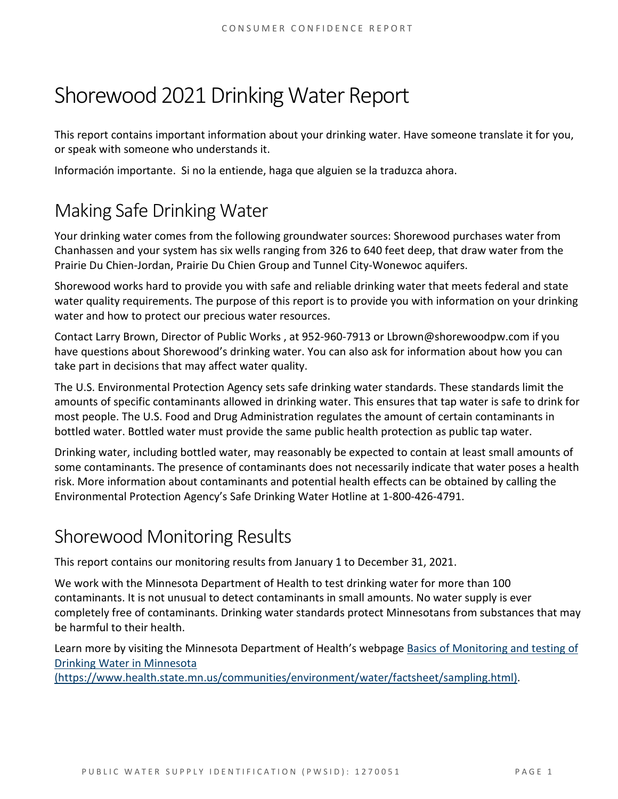# Shorewood 2021 Drinking Water Report

This report contains important information about your drinking water. Have someone translate it for you, or speak with someone who understands it.

Información importante. Si no la entiende, haga que alguien se la traduzca ahora.

# Making Safe Drinking Water

Your drinking water comes from the following groundwater sources: Shorewood purchases water from Chanhassen and your system has six wells ranging from 326 to 640 feet deep, that draw water from the Prairie Du Chien-Jordan, Prairie Du Chien Group and Tunnel City-Wonewoc aquifers.

Shorewood works hard to provide you with safe and reliable drinking water that meets federal and state water quality requirements. The purpose of this report is to provide you with information on your drinking water and how to protect our precious water resources.

Contact Larry Brown, Director of Public Works , at 952-960-7913 or Lbrown@shorewoodpw.com if you have questions about Shorewood's drinking water. You can also ask for information about how you can take part in decisions that may affect water quality.

The U.S. Environmental Protection Agency sets safe drinking water standards. These standards limit the amounts of specific contaminants allowed in drinking water. This ensures that tap water is safe to drink for most people. The U.S. Food and Drug Administration regulates the amount of certain contaminants in bottled water. Bottled water must provide the same public health protection as public tap water.

Drinking water, including bottled water, may reasonably be expected to contain at least small amounts of some contaminants. The presence of contaminants does not necessarily indicate that water poses a health risk. More information about contaminants and potential health effects can be obtained by calling the Environmental Protection Agency's Safe Drinking Water Hotline at 1-800-426-4791.

# Shorewood Monitoring Results

This report contains our monitoring results from January 1 to December 31, 2021.

We work with the Minnesota Department of Health to test drinking water for more than 100 contaminants. It is not unusual to detect contaminants in small amounts. No water supply is ever completely free of contaminants. Drinking water standards protect Minnesotans from substances that may be harmful to their health.

Learn more by visiting the Minnesota Department of Health's webpage [Basics of Monitoring and testing of](https://www.health.state.mn.us/communities/environment/water/factsheet/sampling.html)  [Drinking Water in Minnesota](https://www.health.state.mn.us/communities/environment/water/factsheet/sampling.html) 

[\(https://www.health.state.mn.us/communities/environment/water/factsheet/sampling.html\).](https://www.health.state.mn.us/communities/environment/water/factsheet/sampling.html)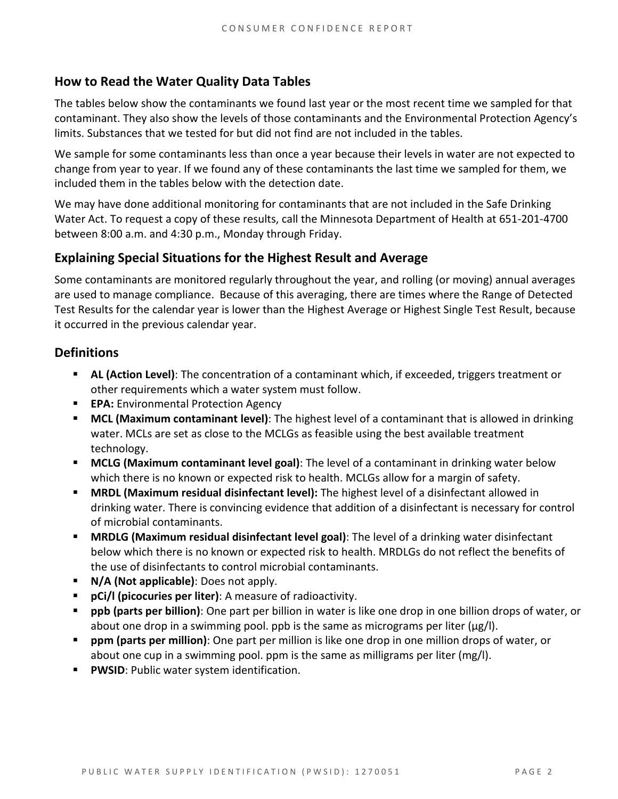# **How to Read the Water Quality Data Tables**

The tables below show the contaminants we found last year or the most recent time we sampled for that contaminant. They also show the levels of those contaminants and the Environmental Protection Agency's limits. Substances that we tested for but did not find are not included in the tables.

We sample for some contaminants less than once a year because their levels in water are not expected to change from year to year. If we found any of these contaminants the last time we sampled for them, we included them in the tables below with the detection date.

We may have done additional monitoring for contaminants that are not included in the Safe Drinking Water Act. To request a copy of these results, call the Minnesota Department of Health at 651-201-4700 between 8:00 a.m. and 4:30 p.m., Monday through Friday.

# **Explaining Special Situations for the Highest Result and Average**

Some contaminants are monitored regularly throughout the year, and rolling (or moving) annual averages are used to manage compliance. Because of this averaging, there are times where the Range of Detected Test Results for the calendar year is lower than the Highest Average or Highest Single Test Result, because it occurred in the previous calendar year.

### **Definitions**

- **AL (Action Level)**: The concentration of a contaminant which, if exceeded, triggers treatment or other requirements which a water system must follow.
- **EPA:** Environmental Protection Agency
- **MCL (Maximum contaminant level)**: The highest level of a contaminant that is allowed in drinking water. MCLs are set as close to the MCLGs as feasible using the best available treatment technology.
- **MCLG (Maximum contaminant level goal)**: The level of a contaminant in drinking water below which there is no known or expected risk to health. MCLGs allow for a margin of safety.
- **MRDL (Maximum residual disinfectant level):** The highest level of a disinfectant allowed in drinking water. There is convincing evidence that addition of a disinfectant is necessary for control of microbial contaminants.
- **MRDLG (Maximum residual disinfectant level goal)**: The level of a drinking water disinfectant below which there is no known or expected risk to health. MRDLGs do not reflect the benefits of the use of disinfectants to control microbial contaminants.
- **N/A (Not applicable)**: Does not apply.
- **pCi/l (picocuries per liter)**: A measure of radioactivity.
- **ppb (parts per billion)**: One part per billion in water is like one drop in one billion drops of water, or about one drop in a swimming pool. ppb is the same as micrograms per liter ( $\mu$ g/l).
- **ppm (parts per million)**: One part per million is like one drop in one million drops of water, or about one cup in a swimming pool. ppm is the same as milligrams per liter (mg/l).
- **PWSID**: Public water system identification.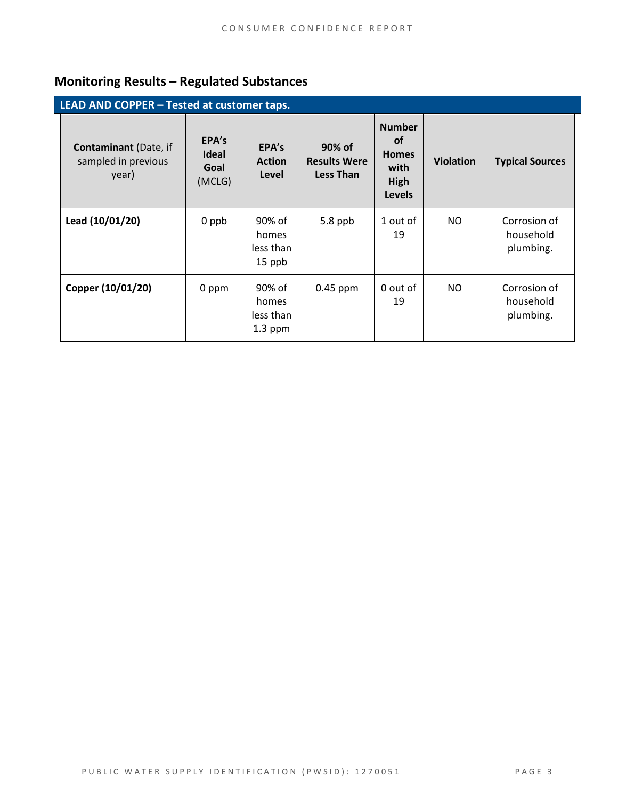# **Monitoring Results – Regulated Substances**

| LEAD AND COPPER - Tested at customer taps.                   |                                         |                                           |                                                   |                                                                             |                  |                                        |  |
|--------------------------------------------------------------|-----------------------------------------|-------------------------------------------|---------------------------------------------------|-----------------------------------------------------------------------------|------------------|----------------------------------------|--|
| <b>Contaminant</b> (Date, if<br>sampled in previous<br>year) | EPA's<br><b>Ideal</b><br>Goal<br>(MCLG) | EPA's<br><b>Action</b><br>Level           | 90% of<br><b>Results Were</b><br><b>Less Than</b> | <b>Number</b><br><b>of</b><br><b>Homes</b><br>with<br>High<br><b>Levels</b> | <b>Violation</b> | <b>Typical Sources</b>                 |  |
| Lead (10/01/20)                                              | 0 ppb                                   | 90% of<br>homes<br>less than<br>15 ppb    | 5.8 ppb                                           | 1 out of<br>19                                                              | NO.              | Corrosion of<br>household<br>plumbing. |  |
| Copper (10/01/20)                                            | 0 ppm                                   | 90% of<br>homes<br>less than<br>$1.3$ ppm | $0.45$ ppm                                        | 0 out of<br>19                                                              | NO.              | Corrosion of<br>household<br>plumbing. |  |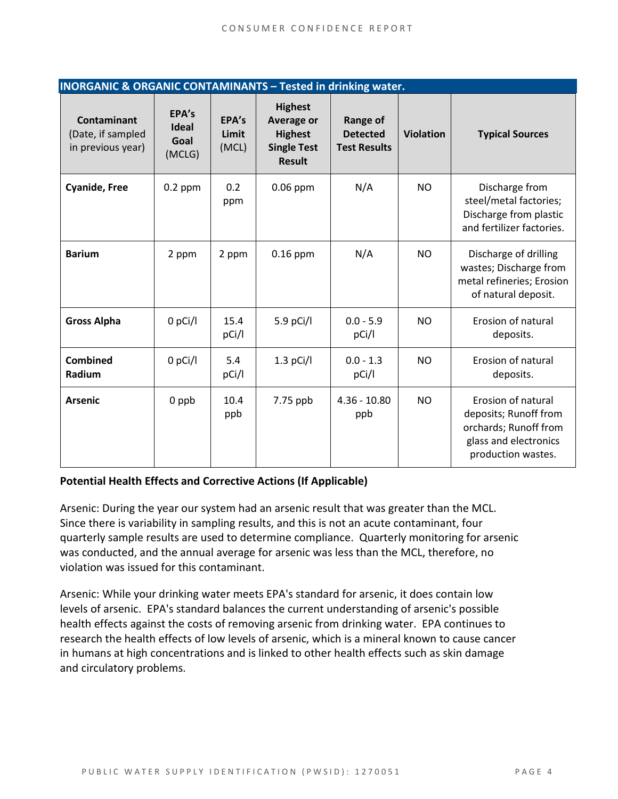| <b>INORGANIC &amp; ORGANIC CONTAMINANTS - Tested in drinking water.</b> |                                  |                         |                                                                                              |                                                           |                  |                                                                                                                     |  |  |
|-------------------------------------------------------------------------|----------------------------------|-------------------------|----------------------------------------------------------------------------------------------|-----------------------------------------------------------|------------------|---------------------------------------------------------------------------------------------------------------------|--|--|
| <b>Contaminant</b><br>(Date, if sampled<br>in previous year)            | EPA's<br>Ideal<br>Goal<br>(MCLG) | EPA's<br>Limit<br>(MCL) | <b>Highest</b><br><b>Average or</b><br><b>Highest</b><br><b>Single Test</b><br><b>Result</b> | <b>Range of</b><br><b>Detected</b><br><b>Test Results</b> | <b>Violation</b> | <b>Typical Sources</b>                                                                                              |  |  |
| <b>Cyanide, Free</b>                                                    | $0.2$ ppm                        | 0.2<br>ppm              | $0.06$ ppm                                                                                   | N/A                                                       | <b>NO</b>        | Discharge from<br>steel/metal factories;<br>Discharge from plastic<br>and fertilizer factories.                     |  |  |
| <b>Barium</b>                                                           | 2 ppm                            | 2 ppm                   | $0.16$ ppm                                                                                   | N/A                                                       | <b>NO</b>        | Discharge of drilling<br>wastes; Discharge from<br>metal refineries; Erosion<br>of natural deposit.                 |  |  |
| <b>Gross Alpha</b>                                                      | $0$ pCi/l                        | 15.4<br>pCi/l           | 5.9 pCi/l                                                                                    | $0.0 - 5.9$<br>pCi/l                                      | <b>NO</b>        | Erosion of natural<br>deposits.                                                                                     |  |  |
| Combined<br>Radium                                                      | $0$ pCi/l                        | 5.4<br>pCi/l            | $1.3$ pCi/l                                                                                  | $0.0 - 1.3$<br>pCi/l                                      | <b>NO</b>        | Erosion of natural<br>deposits.                                                                                     |  |  |
| <b>Arsenic</b>                                                          | 0 ppb                            | 10.4<br>ppb             | 7.75 ppb                                                                                     | $4.36 - 10.80$<br>ppb                                     | <b>NO</b>        | Erosion of natural<br>deposits; Runoff from<br>orchards; Runoff from<br>glass and electronics<br>production wastes. |  |  |

#### **Potential Health Effects and Corrective Actions (If Applicable)**

Arsenic: During the year our system had an arsenic result that was greater than the MCL. Since there is variability in sampling results, and this is not an acute contaminant, four quarterly sample results are used to determine compliance. Quarterly monitoring for arsenic was conducted, and the annual average for arsenic was less than the MCL, therefore, no violation was issued for this contaminant.

Arsenic: While your drinking water meets EPA's standard for arsenic, it does contain low levels of arsenic. EPA's standard balances the current understanding of arsenic's possible health effects against the costs of removing arsenic from drinking water. EPA continues to research the health effects of low levels of arsenic, which is a mineral known to cause cancer in humans at high concentrations and is linked to other health effects such as skin damage and circulatory problems.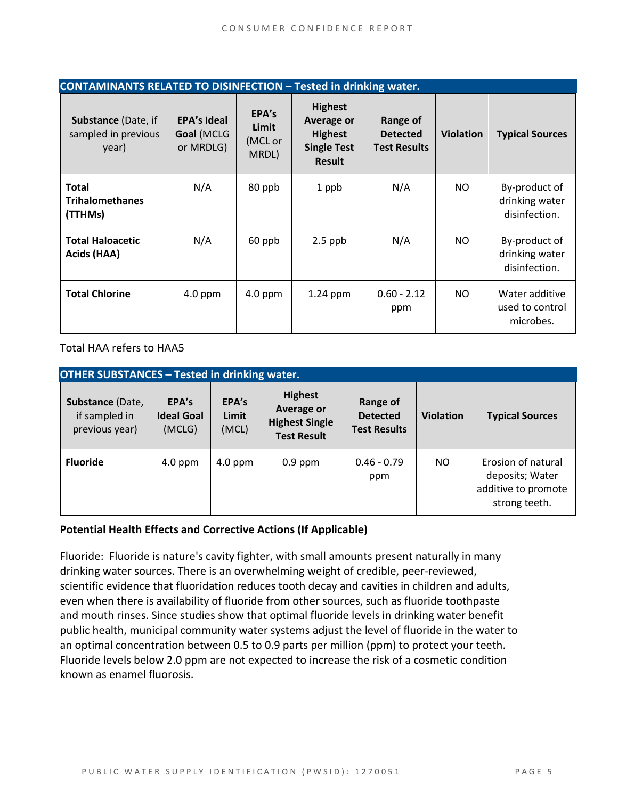| <b>CONTAMINANTS RELATED TO DISINFECTION - Tested in drinking water.</b> |                                               |                                    |                                                                                              |                                                           |                  |                                                  |  |  |
|-------------------------------------------------------------------------|-----------------------------------------------|------------------------------------|----------------------------------------------------------------------------------------------|-----------------------------------------------------------|------------------|--------------------------------------------------|--|--|
| Substance (Date, if<br>sampled in previous<br>year)                     | <b>EPA's Ideal</b><br>Goal (MCLG<br>or MRDLG) | EPA's<br>Limit<br>(MCL or<br>MRDL) | <b>Highest</b><br><b>Average or</b><br><b>Highest</b><br><b>Single Test</b><br><b>Result</b> | <b>Range of</b><br><b>Detected</b><br><b>Test Results</b> | <b>Violation</b> | <b>Typical Sources</b>                           |  |  |
| <b>Total</b><br><b>Trihalomethanes</b><br>(TTHMs)                       | N/A                                           | 80 ppb                             | 1 ppb                                                                                        | N/A                                                       | NO.              | By-product of<br>drinking water<br>disinfection. |  |  |
| <b>Total Haloacetic</b><br>Acids (HAA)                                  | N/A                                           | 60 ppb                             | $2.5$ ppb                                                                                    | N/A                                                       | NO.              | By-product of<br>drinking water<br>disinfection. |  |  |
| <b>Total Chlorine</b>                                                   | $4.0$ ppm                                     | $4.0$ ppm                          | 1.24 ppm                                                                                     | $0.60 - 2.12$<br>ppm                                      | NO.              | Water additive<br>used to control<br>microbes.   |  |  |

Total HAA refers to HAA5

| <b>OTHER SUBSTANCES - Tested in drinking water.</b> |                                      |                         |                                                                                    |                                                    |                  |                                                                               |  |  |
|-----------------------------------------------------|--------------------------------------|-------------------------|------------------------------------------------------------------------------------|----------------------------------------------------|------------------|-------------------------------------------------------------------------------|--|--|
| Substance (Date,<br>if sampled in<br>previous year) | EPA's<br><b>Ideal Goal</b><br>(MCLG) | EPA's<br>Limit<br>(MCL) | <b>Highest</b><br><b>Average or</b><br><b>Highest Single</b><br><b>Test Result</b> | Range of<br><b>Detected</b><br><b>Test Results</b> | <b>Violation</b> | <b>Typical Sources</b>                                                        |  |  |
| <b>Fluoride</b>                                     | $4.0$ ppm                            | $4.0$ ppm               | $0.9$ ppm                                                                          | $0.46 - 0.79$<br>ppm                               | NO.              | Erosion of natural<br>deposits; Water<br>additive to promote<br>strong teeth. |  |  |

#### **Potential Health Effects and Corrective Actions (If Applicable)**

Fluoride: Fluoride is nature's cavity fighter, with small amounts present naturally in many drinking water sources. There is an overwhelming weight of credible, peer-reviewed, scientific evidence that fluoridation reduces tooth decay and cavities in children and adults, even when there is availability of fluoride from other sources, such as fluoride toothpaste and mouth rinses. Since studies show that optimal fluoride levels in drinking water benefit public health, municipal community water systems adjust the level of fluoride in the water to an optimal concentration between 0.5 to 0.9 parts per million (ppm) to protect your teeth. Fluoride levels below 2.0 ppm are not expected to increase the risk of a cosmetic condition known as enamel fluorosis.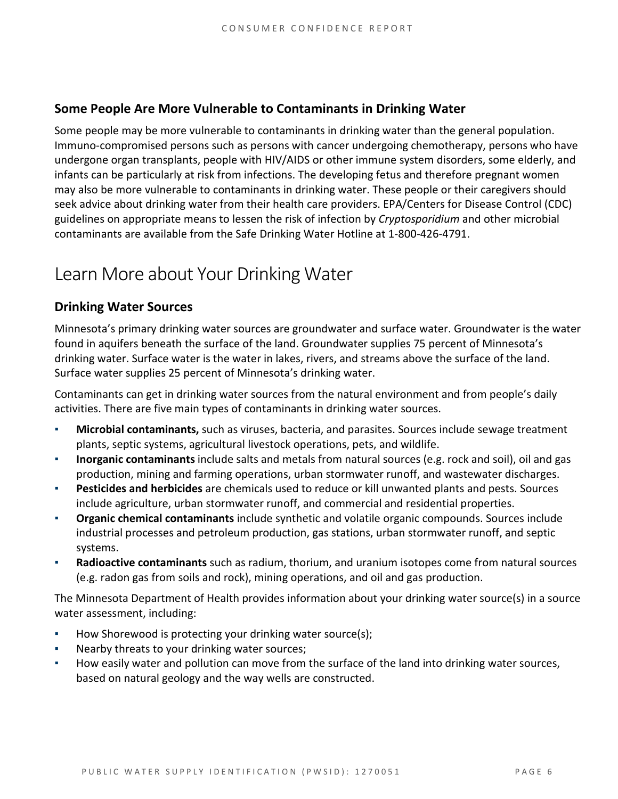### **Some People Are More Vulnerable to Contaminants in Drinking Water**

Some people may be more vulnerable to contaminants in drinking water than the general population. Immuno-compromised persons such as persons with cancer undergoing chemotherapy, persons who have undergone organ transplants, people with HIV/AIDS or other immune system disorders, some elderly, and infants can be particularly at risk from infections. The developing fetus and therefore pregnant women may also be more vulnerable to contaminants in drinking water. These people or their caregivers should seek advice about drinking water from their health care providers. EPA/Centers for Disease Control (CDC) guidelines on appropriate means to lessen the risk of infection by *Cryptosporidium* and other microbial contaminants are available from the Safe Drinking Water Hotline at 1-800-426-4791.

# Learn More about Your Drinking Water

## **Drinking Water Sources**

Minnesota's primary drinking water sources are groundwater and surface water. Groundwater is the water found in aquifers beneath the surface of the land. Groundwater supplies 75 percent of Minnesota's drinking water. Surface water is the water in lakes, rivers, and streams above the surface of the land. Surface water supplies 25 percent of Minnesota's drinking water.

Contaminants can get in drinking water sources from the natural environment and from people's daily activities. There are five main types of contaminants in drinking water sources.

- **Microbial contaminants,** such as viruses, bacteria, and parasites. Sources include sewage treatment plants, septic systems, agricultural livestock operations, pets, and wildlife.
- **Inorganic contaminants** include salts and metals from natural sources (e.g. rock and soil), oil and gas production, mining and farming operations, urban stormwater runoff, and wastewater discharges.
- **Pesticides and herbicides** are chemicals used to reduce or kill unwanted plants and pests. Sources include agriculture, urban stormwater runoff, and commercial and residential properties.
- **Organic chemical contaminants** include synthetic and volatile organic compounds. Sources include industrial processes and petroleum production, gas stations, urban stormwater runoff, and septic systems.
- **Radioactive contaminants** such as radium, thorium, and uranium isotopes come from natural sources (e.g. radon gas from soils and rock), mining operations, and oil and gas production.

The Minnesota Department of Health provides information about your drinking water source(s) in a source water assessment, including:

- How Shorewood is protecting your drinking water source(s);
- Nearby threats to your drinking water sources;
- How easily water and pollution can move from the surface of the land into drinking water sources, based on natural geology and the way wells are constructed.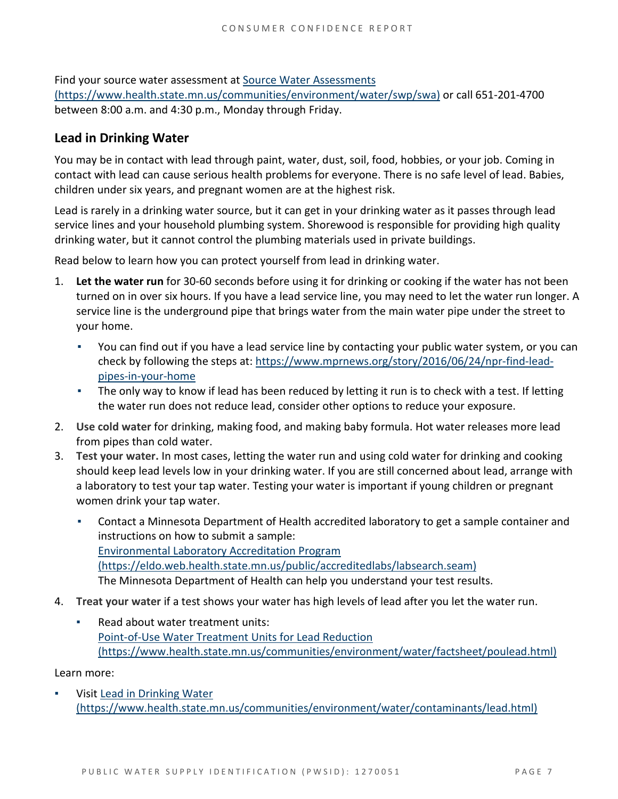Find your source water assessment a[t Source Water Assessments](https://www.health.state.mn.us/communities/environment/water/swp/swa)  [\(https://www.health.state.mn.us/communities/environment/water/swp/swa\)](https://www.health.state.mn.us/communities/environment/water/swp/swa) or call 651-201-4700 between 8:00 a.m. and 4:30 p.m., Monday through Friday.

## **Lead in Drinking Water**

You may be in contact with lead through paint, water, dust, soil, food, hobbies, or your job. Coming in contact with lead can cause serious health problems for everyone. There is no safe level of lead. Babies, children under six years, and pregnant women are at the highest risk.

Lead is rarely in a drinking water source, but it can get in your drinking water as it passes through lead service lines and your household plumbing system. Shorewood is responsible for providing high quality drinking water, but it cannot control the plumbing materials used in private buildings.

Read below to learn how you can protect yourself from lead in drinking water.

- 1. **Let the water run** for 30-60 seconds before using it for drinking or cooking if the water has not been turned on in over six hours. If you have a lead service line, you may need to let the water run longer. A service line is the underground pipe that brings water from the main water pipe under the street to your home.
	- You can find out if you have a lead service line by contacting your public water system, or you can check by following the steps at: [https://www.mprnews.org/story/2016/06/24/npr-find-lead](https://www.mprnews.org/story/2016/06/24/npr-find-lead-pipes-in-your-home)[pipes-in-your-home](https://www.mprnews.org/story/2016/06/24/npr-find-lead-pipes-in-your-home)
	- The only way to know if lead has been reduced by letting it run is to check with a test. If letting the water run does not reduce lead, consider other options to reduce your exposure.
- 2. **Use cold water** for drinking, making food, and making baby formula. Hot water releases more lead from pipes than cold water.
- 3. **Test your water.** In most cases, letting the water run and using cold water for drinking and cooking should keep lead levels low in your drinking water. If you are still concerned about lead, arrange with a laboratory to test your tap water. Testing your water is important if young children or pregnant women drink your tap water.
	- Contact a Minnesota Department of Health accredited laboratory to get a sample container and instructions on how to submit a sample: [Environmental Laboratory Accreditation Program](https://eldo.web.health.state.mn.us/public/accreditedlabs/labsearch.seam)  [\(https://eldo.web.health.state.mn.us/public/accreditedlabs/labsearch.seam\)](https://eldo.web.health.state.mn.us/public/accreditedlabs/labsearch.seam)  The Minnesota Department of Health can help you understand your test results.
- 4. **Treat your water** if a test shows your water has high levels of lead after you let the water run.
	- Read about water treatment units: [Point-of-Use Water Treatment Units for Lead Reduction](https://www.health.state.mn.us/communities/environment/water/factsheet/poulead.html)  [\(https://www.health.state.mn.us/communities/environment/water/factsheet/poulead.html\)](https://www.health.state.mn.us/communities/environment/water/factsheet/poulead.html)

Learn more:

Visit Lead in Drinking Water [\(https://www.health.state.mn.us/communities/environment/water/contaminants/lead.html\)](https://www.health.state.mn.us/communities/environment/water/contaminants/lead.html)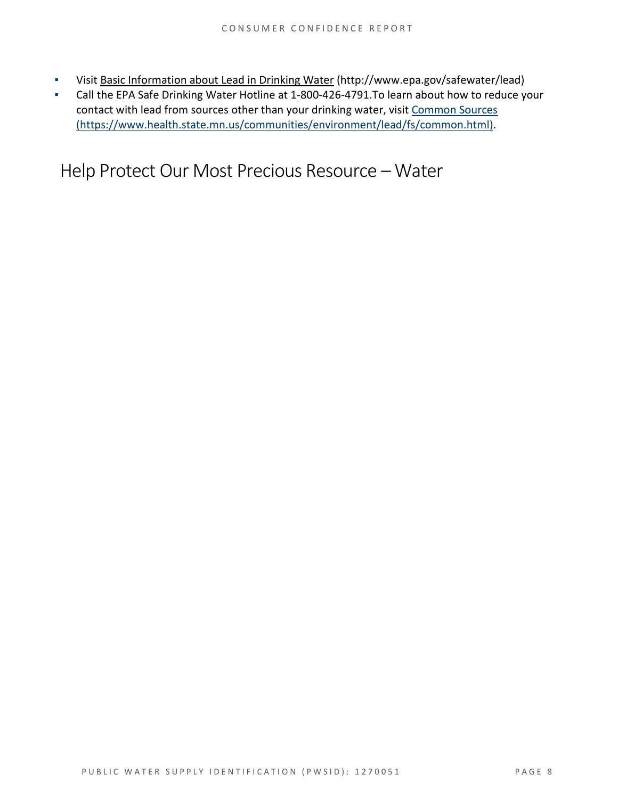- Visit [Basic Information about Lead in Drinking Water](http://www.epa.gov/safewater/lead) (http://www.epa.gov/safewater/lead)
- Call the EPA Safe Drinking Water Hotline at 1-800-426-4791.To learn about how to reduce your contact with lead from sources other than your drinking water, visi[t Common Sources](https://www.health.state.mn.us/communities/environment/lead/fs/common.html)  [\(https://www.health.state.mn.us/communities/environment/lead/fs/common.html\).](https://www.health.state.mn.us/communities/environment/lead/fs/common.html)

Help Protect Our Most Precious Resource – Water